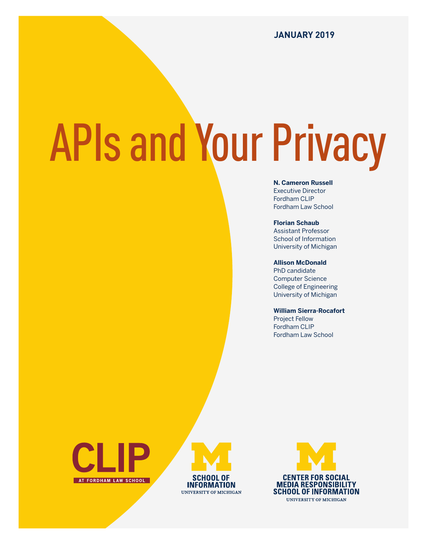# APIs and Your Privacy

### **N. Cameron Russell**

Executive Director Fordham CLIP Fordham Law School

#### **Florian Schaub**

Assistant Professor School of Information University of Michigan

#### **Allison McDonald**

PhD candidate Computer Science College of Engineering University of Michigan

#### **William Sierra-Rocafort**

Project Fellow Fordham CLIP Fordham Law School





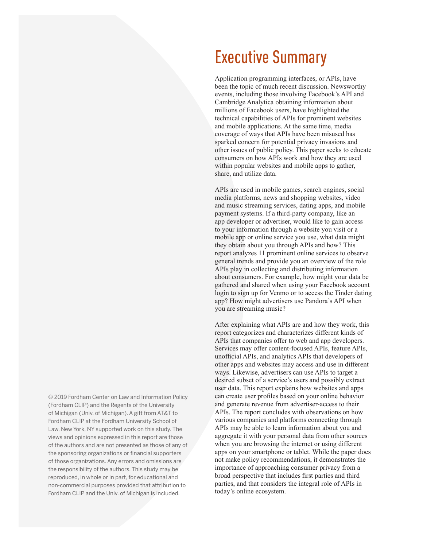# Executive Summary

Application programming interfaces, or APIs, have been the topic of much recent discussion. Newsworthy events, including those involving Facebook's API and Cambridge Analytica obtaining information about millions of Facebook users, have highlighted the technical capabilities of APIs for prominent websites and mobile applications. At the same time, media coverage of ways that APIs have been misused has sparked concern for potential privacy invasions and other issues of public policy. This paper seeks to educate consumers on how APIs work and how they are used within popular websites and mobile apps to gather, share, and utilize data.

APIs are used in mobile games, search engines, social media platforms, news and shopping websites, video and music streaming services, dating apps, and mobile payment systems. If a third-party company, like an app developer or advertiser, would like to gain access to your information through a website you visit or a mobile app or online service you use, what data might they obtain about you through APIs and how? This report analyzes 11 prominent online services to observe general trends and provide you an overview of the role APIs play in collecting and distributing information about consumers. For example, how might your data be gathered and shared when using your Facebook account login to sign up for Venmo or to access the Tinder dating app? How might advertisers use Pandora's API when you are streaming music?

After explaining what APIs are and how they work, this report categorizes and characterizes different kinds of APIs that companies offer to web and app developers. Services may offer content-focused APIs, feature APIs, unofficial APIs, and analytics APIs that developers of other apps and websites may access and use in different ways. Likewise, advertisers can use APIs to target a desired subset of a service's users and possibly extract user data. This report explains how websites and apps can create user profiles based on your online behavior and generate revenue from advertiser-access to their APIs. The report concludes with observations on how various companies and platforms connecting through APIs may be able to learn information about you and aggregate it with your personal data from other sources when you are browsing the internet or using different apps on your smartphone or tablet. While the paper does not make policy recommendations, it demonstrates the importance of approaching consumer privacy from a broad perspective that includes first parties and third parties, and that considers the integral role of APIs in today's online ecosystem.

© 2019 Fordham Center on Law and Information Policy (Fordham CLIP) and the Regents of the University of Michigan (Univ. of Michigan). A gift from AT&T to Fordham CLIP at the Fordham University School of Law, New York, NY supported work on this study. The views and opinions expressed in this report are those of the authors and are not presented as those of any of the sponsoring organizations or financial supporters of those organizations. Any errors and omissions are the responsibility of the authors. This study may be reproduced, in whole or in part, for educational and non-commercial purposes provided that attribution to Fordham CLIP and the Univ. of Michigan is included.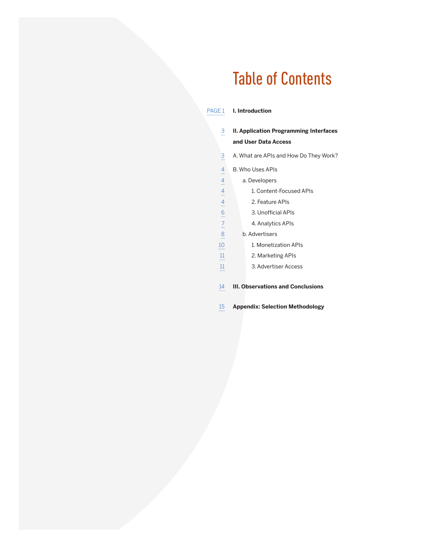# Table of Contents

| PAGE 1           | I. Introduction                                                |  |  |  |  |
|------------------|----------------------------------------------------------------|--|--|--|--|
| 3                | II. Application Programming Interfaces<br>and User Data Access |  |  |  |  |
| $\overline{3}$   | A. What are APIs and How Do They Work?                         |  |  |  |  |
| 4                | <b>B. Who Uses APIs</b>                                        |  |  |  |  |
| $\overline{a}$   | a. Developers                                                  |  |  |  |  |
| $\overline{4}$   | 1. Content-Focused APIs                                        |  |  |  |  |
| 4<br>            | 2. Feature APIs                                                |  |  |  |  |
| $6 \overline{)}$ | 3. Unofficial APIs                                             |  |  |  |  |
| $\overline{a}$   | 4. Analytics APIs                                              |  |  |  |  |
| $\frac{8}{11}$   | b. Advertisers                                                 |  |  |  |  |
| $\frac{10}{100}$ | 1. Monetization APIs                                           |  |  |  |  |
| 11               | 2. Marketing APIs                                              |  |  |  |  |
| 11               | 3. Advertiser Access                                           |  |  |  |  |
| 14               | <b>III. Observations and Conclusions</b>                       |  |  |  |  |

**Appendix: Selection Methodology** [15](#page-17-0)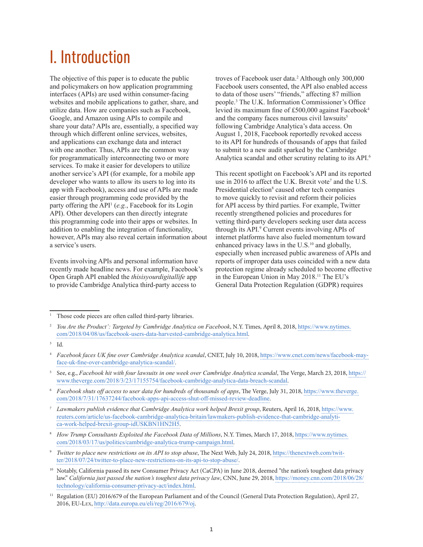# <span id="page-3-0"></span>I. Introduction

The objective of this paper is to educate the public and policymakers on how application programming interfaces (APIs) are used within consumer-facing websites and mobile applications to gather, share, and utilize data. How are companies such as Facebook, Google, and Amazon using APIs to compile and share your data? APIs are, essentially, a specified way through which different online services, websites, and applications can exchange data and interact with one another. Thus, APIs are the common way for programmatically interconnecting two or more services. To make it easier for developers to utilize another service's API (for example, for a mobile app developer who wants to allow its users to log into its app with Facebook), access and use of APIs are made easier through programming code provided by the party offering the API1 (*e.g.*, Facebook for its Login API). Other developers can then directly integrate this programming code into their apps or websites. In addition to enabling the integration of functionality, however, APIs may also reveal certain information about a service's users.

Events involving APIs and personal information have recently made headline news. For example, Facebook's Open Graph API enabled the *thisisyourdigitallife* app to provide Cambridge Analytica third-party access to

troves of Facebook user data.<sup>2</sup> Although only 300,000 Facebook users consented, the API also enabled access to data of those users' "friends," affecting 87 million people.3 The U.K. Information Commissioner's Office levied its maximum fine of £500,000 against Facebook<sup>4</sup> and the company faces numerous civil lawsuits<sup>5</sup> following Cambridge Analytica's data access. On August 1, 2018, Facebook reportedly revoked access to its API for hundreds of thousands of apps that failed to submit to a new audit sparked by the Cambridge Analytica scandal and other scrutiny relating to its API.6

This recent spotlight on Facebook's API and its reported use in 2016 to affect the U.K. Brexit vote<sup>7</sup> and the U.S. Presidential election<sup>8</sup> caused other tech companies to move quickly to revisit and reform their policies for API access by third parties. For example, Twitter recently strengthened policies and procedures for vetting third-party developers seeking user data access through its API.9 Current events involving APIs of internet platforms have also fueled momentum toward enhanced privacy laws in the  $U.S.^{10}$  and globally, especially when increased public awareness of APIs and reports of improper data uses coincided with a new data protection regime already scheduled to become effective in the European Union in May 2018.11 The EU's General Data Protection Regulation (GDPR) requires

- <sup>5</sup> See, e.g., *Facebook hit with four lawsuits in one week over Cambridge Analytica scandal*, The Verge, March 23, 2018, [https://](https://www.theverge.com/2018/3/23/17155754/facebook-cambridge-analytica-data-breach-scandal) [www.theverge.com/2018/3/23/17155754/facebook-cambridge-analytica-data-breach-scandal](https://www.theverge.com/2018/3/23/17155754/facebook-cambridge-analytica-data-breach-scandal).
- <sup>6</sup> *Facebook shuts off access to user data for hundreds of thousands of apps*, The Verge, July 31, 2018, [https://www.theverge.](https://www.theverge.com/2018/7/31/17637244/facebook-apps-api-access-shut-off-missed-review-deadline) [com/2018/7/31/17637244/facebook-apps-api-access-shut-off-missed-review-deadline](https://www.theverge.com/2018/7/31/17637244/facebook-apps-api-access-shut-off-missed-review-deadline).
- <sup>7</sup> *Lawmakers publish evidence that Cambridge Analytica work helped Brexit group*, Reuters, April 16, 2018, [https://www.](https://www.reuters.com/article/us-facebook-cambridge-analytica-britain/lawmakers-publish-evidence-that-cambridge-analytica-work-helped-brexit-group-idUSKBN1HN2H5) [reuters.com/article/us-facebook-cambridge-analytica-britain/lawmakers-publish-evidence-that-cambridge-analyti](https://www.reuters.com/article/us-facebook-cambridge-analytica-britain/lawmakers-publish-evidence-that-cambridge-analytica-work-helped-brexit-group-idUSKBN1HN2H5)[ca-work-helped-brexit-group-idUSKBN1HN2H5](https://www.reuters.com/article/us-facebook-cambridge-analytica-britain/lawmakers-publish-evidence-that-cambridge-analytica-work-helped-brexit-group-idUSKBN1HN2H5).
- <sup>8</sup> *How Trump Consultants Exploited the Facebook Data of Millions*, N.Y. Times, March 17, 2018, [https://www.nytimes.](https://www.nytimes.com/2018/03/17/us/politics/cambridge-analytica-trump-campaign.html) [com/2018/03/17/us/politics/cambridge-analytica-trump-campaign.html](https://www.nytimes.com/2018/03/17/us/politics/cambridge-analytica-trump-campaign.html).
- <sup>9</sup> *Twitter to place new restrictions on its API to stop abuse*, The Next Web, July 24, 2018, [https://thenextweb.com/twit](https://thenextweb.com/twitter/2018/07/24/twitter-to-place-new-restrictions-on-its-api-to-stop-abuse/)[ter/2018/07/24/twitter-to-place-new-restrictions-on-its-api-to-stop-abuse/](https://thenextweb.com/twitter/2018/07/24/twitter-to-place-new-restrictions-on-its-api-to-stop-abuse/).
- <sup>10</sup> Notably, California passed its new Consumer Privacy Act (CaCPA) in June 2018, deemed "the nation's toughest data privacy law." *California just passed the nation's toughest data privacy law*, CNN, June 29, 2018, [https://money.cnn.com/2018/06/28/](https://money.cnn.com/2018/06/28/technology/california-consumer-privacy-act/index.html) [technology/california-consumer-privacy-act/index.html](https://money.cnn.com/2018/06/28/technology/california-consumer-privacy-act/index.html).
- <sup>11</sup> Regulation (EU) 2016/679 of the European Parliament and of the Council (General Data Protection Regulation), April 27, 2016, EU-Lex, <http://data.europa.eu/eli/reg/2016/679/oj>.

Those code pieces are often called third-party libraries.

<sup>2</sup> *You Are the Product': Targeted by Cambridge Analytica on Facebook*, N.Y. Times, April 8, 2018, [https://www.nytimes.](https://www.nytimes.com/2018/04/08/us/facebook-users-data-harvested-cambridge-analytica.html) [com/2018/04/08/us/facebook-users-data-harvested-cambridge-analytica.html](https://www.nytimes.com/2018/04/08/us/facebook-users-data-harvested-cambridge-analytica.html).

<sup>3</sup> Id.

<sup>4</sup> *Facebook faces UK fine over Cambridge Analytica scandal*, CNET, July 10, 2018, [https://www.cnet.com/news/facebook-may](https://www.cnet.com/news/facebook-may-face-uk-fine-over-cambridge-analytica-scandal/)[face-uk-fine-over-cambridge-analytica-scandal/](https://www.cnet.com/news/facebook-may-face-uk-fine-over-cambridge-analytica-scandal/).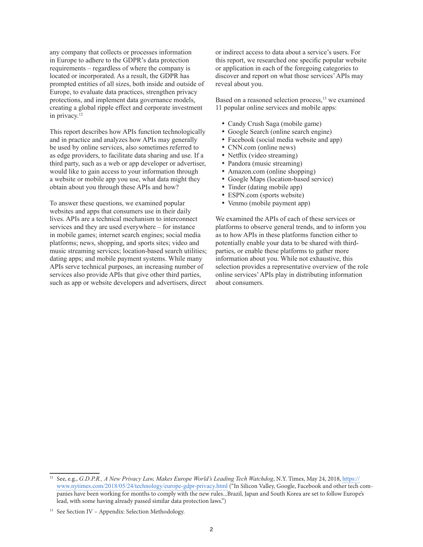any company that collects or processes information in Europe to adhere to the GDPR's data protection requirements – regardless of where the company is located or incorporated. As a result, the GDPR has prompted entities of all sizes, both inside and outside of Europe, to evaluate data practices, strengthen privacy protections, and implement data governance models, creating a global ripple effect and corporate investment in privacy.12

This report describes how APIs function technologically and in practice and analyzes how APIs may generally be used by online services, also sometimes referred to as edge providers, to facilitate data sharing and use. If a third party, such as a web or app developer or advertiser, would like to gain access to your information through a website or mobile app you use, what data might they obtain about you through these APIs and how?

To answer these questions, we examined popular websites and apps that consumers use in their daily lives. APIs are a technical mechanism to interconnect services and they are used everywhere – for instance in mobile games; internet search engines; social media platforms; news, shopping, and sports sites; video and music streaming services; location-based search utilities; dating apps; and mobile payment systems. While many APIs serve technical purposes, an increasing number of services also provide APIs that give other third parties, such as app or website developers and advertisers, direct

or indirect access to data about a service's users. For this report, we researched one specific popular website or application in each of the foregoing categories to discover and report on what those services' APIs may reveal about you.

Based on a reasoned selection process,<sup>13</sup> we examined 11 popular online services and mobile apps:

- Candy Crush Saga (mobile game)
- Google Search (online search engine)
- Facebook (social media website and app)
- CNN.com (online news)
- Netflix (video streaming)
- Pandora (music streaming)
- Amazon.com (online shopping)
- Google Maps (location-based service)
- Tinder (dating mobile app)
- ESPN.com (sports website)
- Venmo (mobile payment app)

We examined the APIs of each of these services or platforms to observe general trends, and to inform you as to how APIs in these platforms function either to potentially enable your data to be shared with thirdparties, or enable these platforms to gather more information about you. While not exhaustive, this selection provides a representative overview of the role online services' APIs play in distributing information about consumers.

<sup>12</sup> See, e.g., *G.D.P.R., A New Privacy Law, Makes Europe World's Leading Tech Watchdog*, N.Y. Times, May 24, 2018, [https://](https://www.nytimes.com/2018/05/24/technology/europe-gdpr-privacy.html) [www.nytimes.com/2018/05/24/technology/europe-gdpr-privacy.html](https://www.nytimes.com/2018/05/24/technology/europe-gdpr-privacy.html) ("In Silicon Valley, Google, Facebook and other tech companies have been working for months to comply with the new rules...Brazil, Japan and South Korea are set to follow Europe's lead, with some having already passed similar data protection laws.")

<sup>&</sup>lt;sup>13</sup> See Section IV – Appendix: Selection Methodology.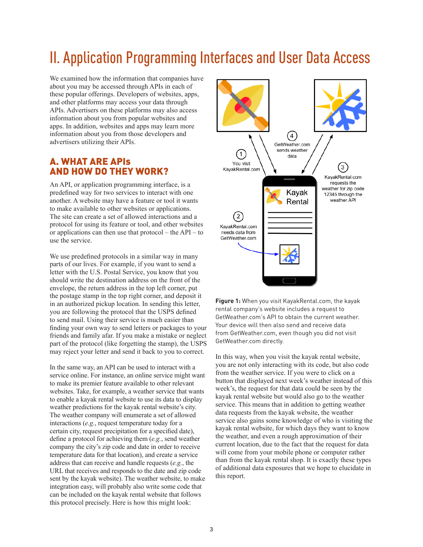## <span id="page-5-0"></span>II. Application Programming Interfaces and User Data Access

We examined how the information that companies have about you may be accessed through APIs in each of these popular offerings. Developers of websites, apps, and other platforms may access your data through APIs. Advertisers on these platforms may also access information about you from popular websites and apps. In addition, websites and apps may learn more information about you from those developers and advertisers utilizing their APIs.

## A. WHAT ARE APIs AND HOW DO THEY WORK?

An API, or application programming interface, is a predefined way for two services to interact with one another. A website may have a feature or tool it wants to make available to other websites or applications. The site can create a set of allowed interactions and a protocol for using its feature or tool, and other websites or applications can then use that protocol – the API – to use the service.

We use predefined protocols in a similar way in many parts of our lives. For example, if you want to send a letter with the U.S. Postal Service, you know that you should write the destination address on the front of the envelope, the return address in the top left corner, put the postage stamp in the top right corner, and deposit it in an authorized pickup location. In sending this letter, you are following the protocol that the USPS defined to send mail. Using their service is much easier than finding your own way to send letters or packages to your friends and family afar. If you make a mistake or neglect part of the protocol (like forgetting the stamp), the USPS may reject your letter and send it back to you to correct.

In the same way, an API can be used to interact with a service online. For instance, an online service might want to make its premier feature available to other relevant websites. Take, for example, a weather service that wants to enable a kayak rental website to use its data to display weather predictions for the kayak rental website's city. The weather company will enumerate a set of allowed interactions (*e.g.*, request temperature today for a certain city, request precipitation for a specified date), define a protocol for achieving them (*e.g.*, send weather company the city's zip code and date in order to receive temperature data for that location), and create a service address that can receive and handle requests (*e.g.*, the URL that receives and responds to the date and zip code sent by the kayak website). The weather website, to make integration easy, will probably also write some code that can be included on the kayak rental website that follows this protocol precisely. Here is how this might look:



**Figure 1:** When you visit KayakRental.com, the kayak rental company's website includes a request to GetWeather.com's API to obtain the current weather. Your device will then also send and receive data from GetWeather.com, even though you did not visit GetWeather.com directly.

In this way, when you visit the kayak rental website, you are not only interacting with its code, but also code from the weather service. If you were to click on a button that displayed next week's weather instead of this week's, the request for that data could be seen by the kayak rental website but would also go to the weather service. This means that in addition to getting weather data requests from the kayak website, the weather service also gains some knowledge of who is visiting the kayak rental website, for which days they want to know the weather, and even a rough approximation of their current location, due to the fact that the request for data will come from your mobile phone or computer rather than from the kayak rental shop. It is exactly these types of additional data exposures that we hope to elucidate in this report.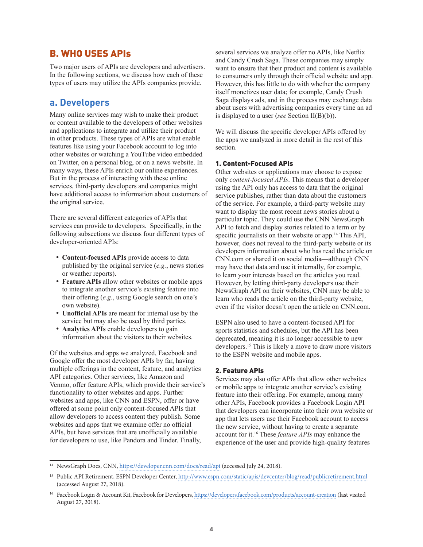## <span id="page-6-0"></span>B. WHO USES APIs

Two major users of APIs are developers and advertisers. In the following sections, we discuss how each of these types of users may utilize the APIs companies provide.

## **a. Developers**

Many online services may wish to make their product or content available to the developers of other websites and applications to integrate and utilize their product in other products. These types of APIs are what enable features like using your Facebook account to log into other websites or watching a YouTube video embedded on Twitter, on a personal blog, or on a news website. In many ways, these APIs enrich our online experiences. But in the process of interacting with these online services, third-party developers and companies might have additional access to information about customers of the original service.

There are several different categories of APIs that services can provide to developers. Specifically, in the following subsections we discuss four different types of developer-oriented APIs:

- • **Content-focused APIs** provide access to data published by the original service (*e.g.*, news stories or weather reports).
- **Feature APIs** allow other websites or mobile apps to integrate another service's existing feature into their offering (*e.g.*, using Google search on one's own website).
- • **Unofficial APIs** are meant for internal use by the service but may also be used by third parties.
- **Analytics APIs** enable developers to gain information about the visitors to their websites.

Of the websites and apps we analyzed, Facebook and Google offer the most developer APIs by far, having multiple offerings in the content, feature, and analytics API categories. Other services, like Amazon and Venmo, offer feature APIs, which provide their service's functionality to other websites and apps. Further websites and apps, like CNN and ESPN, offer or have offered at some point only content-focused APIs that allow developers to access content they publish. Some websites and apps that we examine offer no official APIs, but have services that are unofficially available for developers to use, like Pandora and Tinder. Finally,

several services we analyze offer no APIs, like Netflix and Candy Crush Saga. These companies may simply want to ensure that their product and content is available to consumers only through their official website and app. However, this has little to do with whether the company itself monetizes user data; for example, Candy Crush Saga displays ads, and in the process may exchange data about users with advertising companies every time an ad is displayed to a user (*see* Section II(B)(b)).

We will discuss the specific developer APIs offered by the apps we analyzed in more detail in the rest of this section.

#### 1. Content-Focused APIs

Other websites or applications may choose to expose only *content-focused APIs*. This means that a developer using the API only has access to data that the original service publishes, rather than data about the customers of the service. For example, a third-party website may want to display the most recent news stories about a particular topic. They could use the CNN NewsGraph API to fetch and display stories related to a term or by specific journalists on their website or app.<sup>14</sup> This API, however, does not reveal to the third-party website or its developers information about who has read the article on CNN.com or shared it on social media—although CNN may have that data and use it internally, for example, to learn your interests based on the articles you read. However, by letting third-party developers use their NewsGraph API on their websites, CNN may be able to learn who reads the article on the third-party website, even if the visitor doesn't open the article on CNN.com.

ESPN also used to have a content-focused API for sports statistics and schedules, but the API has been deprecated, meaning it is no longer accessible to new developers.15 This is likely a move to draw more visitors to the ESPN website and mobile apps.

#### 2. Feature APIs

Services may also offer APIs that allow other websites or mobile apps to integrate another service's existing feature into their offering. For example, among many other APIs, Facebook provides a Facebook Login API that developers can incorporate into their own website or app that lets users use their Facebook account to access the new service, without having to create a separate account for it.16 These *feature APIs* may enhance the experience of the user and provide high-quality features

<sup>&</sup>lt;sup>14</sup> NewsGraph Docs, CNN,<https://developer.cnn.com/docs/read/api> (accessed July 24, 2018).

<sup>15</sup> Public API Retirement, ESPN Developer Center,<http://www.espn.com/static/apis/devcenter/blog/read/publicretirement.html> (accessed August 27, 2018).

<sup>&</sup>lt;sup>16</sup> Facebook Login & Account Kit, Facebook for Developers,<https://developers.facebook.com/products/account-creation>(last visited August 27, 2018).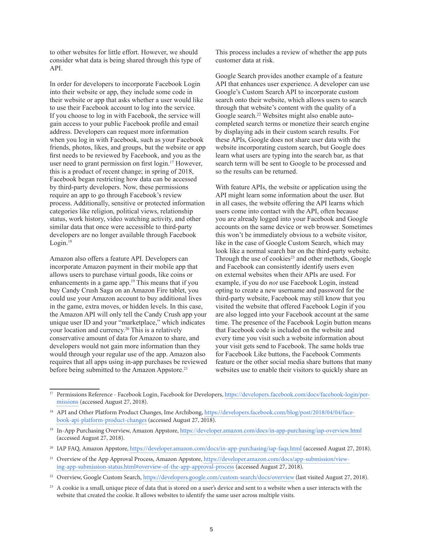to other websites for little effort. However, we should consider what data is being shared through this type of API.

In order for developers to incorporate Facebook Login into their website or app, they include some code in their website or app that asks whether a user would like to use their Facebook account to log into the service. If you choose to log in with Facebook, the service will gain access to your public Facebook profile and email address. Developers can request more information when you log in with Facebook, such as your Facebook friends, photos, likes, and groups, but the website or app first needs to be reviewed by Facebook, and you as the user need to grant permission on first login.<sup>17</sup> However, this is a product of recent change; in spring of 2018, Facebook began restricting how data can be accessed by third-party developers. Now, these permissions require an app to go through Facebook's review process. Additionally, sensitive or protected information categories like religion, political views, relationship status, work history, video watching activity, and other similar data that once were accessible to third-party developers are no longer available through Facebook  $Login.<sup>18</sup>$ 

Amazon also offers a feature API. Developers can incorporate Amazon payment in their mobile app that allows users to purchase virtual goods, like coins or enhancements in a game app.19 This means that if you buy Candy Crush Saga on an Amazon Fire tablet, you could use your Amazon account to buy additional lives in the game, extra moves, or hidden levels. In this case, the Amazon API will only tell the Candy Crush app your unique user ID and your "marketplace," which indicates your location and currency.20 This is a relatively conservative amount of data for Amazon to share, and developers would not gain more information than they would through your regular use of the app. Amazon also requires that all apps using in-app purchases be reviewed before being submitted to the Amazon Appstore.<sup>21</sup>

This process includes a review of whether the app puts customer data at risk.

Google Search provides another example of a feature API that enhances user experience. A developer can use Google's Custom Search API to incorporate custom search onto their website, which allows users to search through that website's content with the quality of a Google search.<sup>22</sup> Websites might also enable autocompleted search terms or monetize their search engine by displaying ads in their custom search results. For these APIs, Google does not share user data with the website incorporating custom search, but Google does learn what users are typing into the search bar, as that search term will be sent to Google to be processed and so the results can be returned.

With feature APIs, the website or application using the API might learn some information about the user. But in all cases, the website offering the API learns which users come into contact with the API, often because you are already logged into your Facebook and Google accounts on the same device or web browser. Sometimes this won't be immediately obvious to a website visitor, like in the case of Google Custom Search, which may look like a normal search bar on the third-party website. Through the use of cookies $23$  and other methods, Google and Facebook can consistently identify users even on external websites when their APIs are used. For example, if you do *not* use Facebook Login, instead opting to create a new username and password for the third-party website, Facebook may still know that you visited the website that offered Facebook Login if you are also logged into your Facebook account at the same time. The presence of the Facebook Login button means that Facebook code is included on the website and every time you visit such a website information about your visit gets send to Facebook. The same holds true for Facebook Like buttons, the Facebook Comments feature or the other social media share buttons that many websites use to enable their visitors to quickly share an

<sup>17</sup> Permissions Reference - Facebook Login, Facebook for Developers, [https://developers.facebook.com/docs/facebook-login/per](https://developers.facebook.com/docs/facebook-login/permissions)[missions](https://developers.facebook.com/docs/facebook-login/permissions) (accessed August 27, 2018).

<sup>18</sup> API and Other Platform Product Changes, Ime Archibong, [https://developers.facebook.com/blog/post/2018/04/04/face](https://developers.facebook.com/blog/post/2018/04/04/facebook-api-platform-product-changes)[book-api-platform-product-changes](https://developers.facebook.com/blog/post/2018/04/04/facebook-api-platform-product-changes) (accessed August 27, 2018).

<sup>19</sup> In-App Purchasing Overview, Amazon Appstore, <https://developer.amazon.com/docs/in-app-purchasing/iap-overview.html> (accessed August 27, 2018).

<sup>&</sup>lt;sup>20</sup> IAP FAQ, Amazon Appstore,<https://developer.amazon.com/docs/in-app-purchasing/iap-faqs.html>(accessed August 27, 2018).

<sup>21</sup> Overview of the App Approval Process, Amazon Appstore, https://developer.amazon.com/docs/app-submission/viewing-app-submission-status.html#overview-of-the-app-approval-process (accessed August 27, 2018).

<sup>&</sup>lt;sup>22</sup> Overview, Google Custom Search,<https://developers.google.com/custom-search/docs/overview>(last visited August 27, 2018).

<sup>&</sup>lt;sup>23</sup> A cookie is a small, unique piece of data that is stored on a user's device and sent to a website when a user interacts with the website that created the cookie. It allows websites to identify the same user across multiple visits.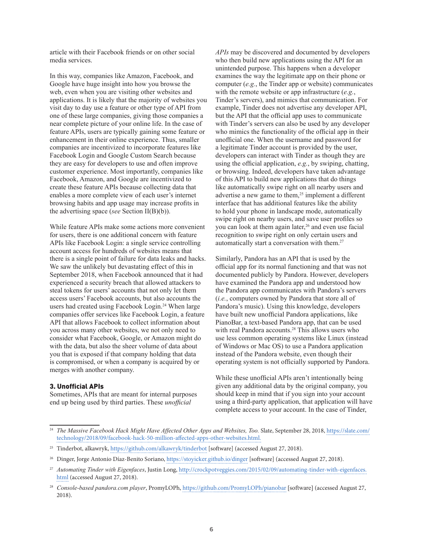<span id="page-8-0"></span>article with their Facebook friends or on other social media services.

In this way, companies like Amazon, Facebook, and Google have huge insight into how you browse the web, even when you are visiting other websites and applications. It is likely that the majority of websites you visit day to day use a feature or other type of API from one of these large companies, giving those companies a near complete picture of your online life. In the case of feature APIs, users are typically gaining some feature or enhancement in their online experience. Thus, smaller companies are incentivized to incorporate features like Facebook Login and Google Custom Search because they are easy for developers to use and often improve customer experience. Most importantly, companies like Facebook, Amazon, and Google are incentivized to create these feature APIs because collecting data that enables a more complete view of each user's internet browsing habits and app usage may increase profits in the advertising space (*see* Section II(B)(b)).

While feature APIs make some actions more convenient for users, there is one additional concern with feature APIs like Facebook Login: a single service controlling account access for hundreds of websites means that there is a single point of failure for data leaks and hacks. We saw the unlikely but devastating effect of this in September 2018, when Facebook announced that it had experienced a security breach that allowed attackers to steal tokens for users' accounts that not only let them access users' Facebook accounts, but also accounts the users had created using Facebook Login.<sup>24</sup> When large companies offer services like Facebook Login, a feature API that allows Facebook to collect information about you across many other websites, we not only need to consider what Facebook, Google, or Amazon might do with the data, but also the sheer volume of data about you that is exposed if that company holding that data is compromised, or when a company is acquired by or merges with another company.

#### 3. Unofficial APIs

Sometimes, APIs that are meant for internal purposes end up being used by third parties. These *unofficial* 

*APIs* may be discovered and documented by developers who then build new applications using the API for an unintended purpose. This happens when a developer examines the way the legitimate app on their phone or computer (*e.g.*, the Tinder app or website) communicates with the remote website or app infrastructure (*e.g.*, Tinder's servers), and mimics that communication. For example, Tinder does not advertise any developer API, but the API that the official app uses to communicate with Tinder's servers can also be used by any developer who mimics the functionality of the official app in their unofficial one. When the username and password for a legitimate Tinder account is provided by the user, developers can interact with Tinder as though they are using the official application, *e.g.*, by swiping, chatting, or browsing. Indeed, developers have taken advantage of this API to build new applications that do things like automatically swipe right on all nearby users and advertise a new game to them,<sup>25</sup> implement a different interface that has additional features like the ability to hold your phone in landscape mode, automatically swipe right on nearby users, and save user profiles so you can look at them again later,<sup>26</sup> and even use facial recognition to swipe right on only certain users and automatically start a conversation with them.27

Similarly, Pandora has an API that is used by the official app for its normal functioning and that was not documented publicly by Pandora. However, developers have examined the Pandora app and understood how the Pandora app communicates with Pandora's servers (*i.e.*, computers owned by Pandora that store all of Pandora's music). Using this knowledge, developers have built new unofficial Pandora applications, like PianoBar, a text-based Pandora app, that can be used with real Pandora accounts.<sup>28</sup> This allows users who use less common operating systems like Linux (instead of Windows or Mac OS) to use a Pandora application instead of the Pandora website, even though their operating system is not officially supported by Pandora.

While these unofficial APIs aren't intentionally being given any additional data by the original company, you should keep in mind that if you sign into your account using a third-party application, that application will have complete access to your account. In the case of Tinder,

<sup>24</sup> *The Massive Facebook Hack Might Have Affected Other Apps and Websites, Too.* Slate, September 28, 2018, https://slate.com/ technology/2018/09/facebook-hack-50-million-affected-apps-other-websites.html.

<sup>&</sup>lt;sup>25</sup> Tinderbot, alkawryk, <https://github.com/alkawryk/tinderbot>[software] (accessed August 27, 2018).

<sup>26</sup> Dinger, Jorge Antonio Díaz-Benito Soriano, <https://stoyicker.github.io/dinger> [software] (accessed August 27, 2018).

<sup>27</sup> *Automating Tinder with Eigenfaces*, Justin Long, [http://crockpotveggies.com/2015/02/09/automating-tinder-with-eigenfaces.](http://crockpotveggies.com/2015/02/09/automating-tinder-with-eigenfaces.html) [html](http://crockpotveggies.com/2015/02/09/automating-tinder-with-eigenfaces.html) (accessed August 27, 2018).

<sup>28</sup> *Console-based pandora.com player*, PromyLOPh,<https://github.com/PromyLOPh/pianobar> [software] (accessed August 27, 2018).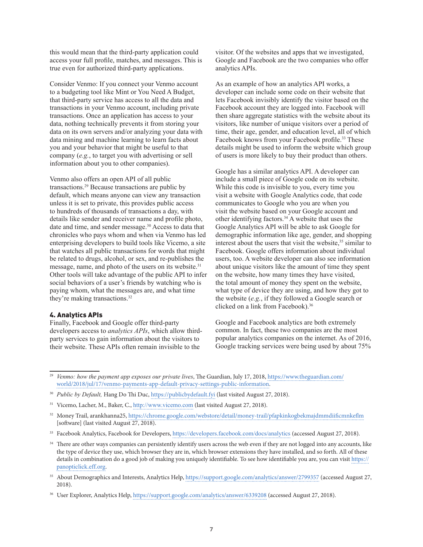<span id="page-9-0"></span>this would mean that the third-party application could access your full profile, matches, and messages. This is true even for authorized third-party applications.

Consider Venmo: If you connect your Venmo account to a budgeting tool like Mint or You Need A Budget, that third-party service has access to all the data and transactions in your Venmo account, including private transactions. Once an application has access to your data, nothing technically prevents it from storing your data on its own servers and/or analyzing your data with data mining and machine learning to learn facts about you and your behavior that might be useful to that company (*e.g.*, to target you with advertising or sell information about you to other companies).

Venmo also offers an open API of all public transactions.29 Because transactions are public by default, which means anyone can view any transaction unless it is set to private, this provides public access to hundreds of thousands of transactions a day, with details like sender and receiver name and profile photo, date and time, and sender message.30 Access to data that chronicles who pays whom and when via Venmo has led enterprising developers to build tools like Vicemo, a site that watches all public transactions for words that might be related to drugs, alcohol, or sex, and re-publishes the message, name, and photo of the users on its website.<sup>31</sup> Other tools will take advantage of the public API to infer social behaviors of a user's friends by watching who is paying whom, what the messages are, and what time they're making transactions.32

#### 4. Analytics APIs

Finally, Facebook and Google offer third-party developers access to *analytics APIs*, which allow thirdparty services to gain information about the visitors to their website. These APIs often remain invisible to the

visitor. Of the websites and apps that we investigated, Google and Facebook are the two companies who offer analytics APIs.

As an example of how an analytics API works, a developer can include some code on their website that lets Facebook invisibly identify the visitor based on the Facebook account they are logged into. Facebook will then share aggregate statistics with the website about its visitors, like number of unique visitors over a period of time, their age, gender, and education level, all of which Facebook knows from your Facebook profile.<sup>33</sup> These details might be used to inform the website which group of users is more likely to buy their product than others.

Google has a similar analytics API. A developer can include a small piece of Google code on its website. While this code is invisible to you, every time you visit a website with Google Analytics code, that code communicates to Google who you are when you visit the website based on your Google account and other identifying factors.34 A website that uses the Google Analytics API will be able to ask Google for demographic information like age, gender, and shopping interest about the users that visit the website,<sup>35</sup> similar to Facebook. Google offers information about individual users, too. A website developer can also see information about unique visitors like the amount of time they spent on the website, how many times they have visited, the total amount of money they spent on the website, what type of device they are using, and how they got to the website (*e.g.*, if they followed a Google search or clicked on a link from Facebook).<sup>36</sup>

Google and Facebook analytics are both extremely common. In fact, these two companies are the most popular analytics companies on the internet. As of 2016, Google tracking services were being used by about 75%

<sup>29</sup> *Venmo: how the payment app exposes our private lives*, The Guardian, July 17, 2018, [https://www.theguardian.com/](https://www.theguardian.com/world/2018/jul/17/venmo-payments-app-default-privacy-settings-public-information) [world/2018/jul/17/venmo-payments-app-default-privacy-settings-public-information.](https://www.theguardian.com/world/2018/jul/17/venmo-payments-app-default-privacy-settings-public-information)

<sup>&</sup>lt;sup>30</sup> *Public by Default*, Hang Do Thi Duc, <https://publicbydefault.fyi>(last visited August 27, 2018).

<sup>31</sup> Vicemo, Lacher, M., Baker, C., <http://www.vicemo.com> (last visited August 27, 2018).

<sup>32</sup> Money Trail, arankhanna25, <https://chrome.google.com/webstore/detail/money-trail/pfapkinkogbekmajdmmdiificmnkeflm> [software] (last visited August 27, 2018).

<sup>33</sup> Facebook Analytics, Facebook for Developers, <https://developers.facebook.com/docs/analytics> (accessed August 27, 2018).

<sup>&</sup>lt;sup>34</sup> There are other ways companies can persistently identify users across the web even if they are not logged into any accounts, like the type of device they use, which browser they are in, which browser extensions they have installed, and so forth. All of these details in combination do a good job of making you uniquely identifiable. To see how identifiable you are, you can visit [https://](https://panopticlick.eff.org) [panopticlick.eff.org](https://panopticlick.eff.org).

<sup>35</sup> About Demographics and Interests, Analytics Help, <https://support.google.com/analytics/answer/2799357> (accessed August 27, 2018).

<sup>36</sup> User Explorer, Analytics Help, <https://support.google.com/analytics/answer/6339208>(accessed August 27, 2018).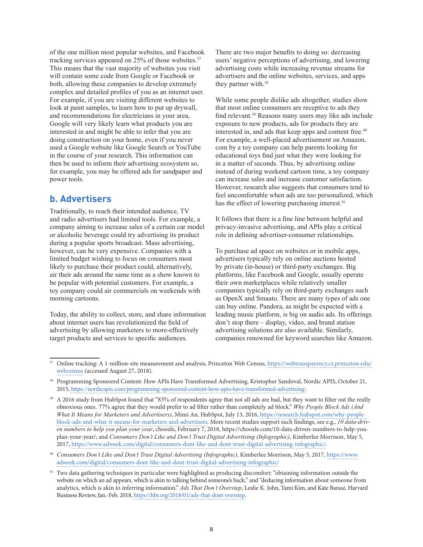<span id="page-10-0"></span>of the one million most popular websites, and Facebook tracking services appeared on 25% of those websites.<sup>37</sup> This means that the vast majority of websites you visit will contain some code from Google or Facebook or both, allowing these companies to develop extremely complex and detailed profiles of you as an internet user. For example, if you are visiting different websites to look at paint samples, to learn how to put up drywall, and recommendations for electricians in your area, Google will very likely learn what products you are interested in and might be able to infer that you are doing construction on your home, even if you never used a Google website like Google Search or YouTube in the course of your research. This information can then be used to inform their advertising ecosystem so, for example, you may be offered ads for sandpaper and power tools.

## **b. Advertisers**

Traditionally, to reach their intended audience, TV and radio advertisers had limited tools. For example, a company aiming to increase sales of a certain car model or alcoholic beverage could try advertising its product during a popular sports broadcast. Mass advertising, however, can be very expensive. Companies with a limited budget wishing to focus on consumers most likely to purchase their product could, alternatively, air their ads around the same time as a show known to be popular with potential customers. For example, a toy company could air commercials on weekends with morning cartoons.

Today, the ability to collect, store, and share information about internet users has revolutionized the field of advertising by allowing marketers to more-effectively target products and services to specific audiences.

There are two major benefits to doing so: decreasing users' negative perceptions of advertising, and lowering advertising costs while increasing revenue streams for advertisers and the online websites, services, and apps they partner with.<sup>38</sup>

While some people dislike ads altogether, studies show that most online consumers are receptive to ads they find relevant.39 Reasons many users may like ads include exposure to new products, ads for products they are interested in, and ads that keep apps and content free.<sup>40</sup> For example, a well-placed advertisement on Amazon. com by a toy company can help parents looking for educational toys find just what they were looking for in a matter of seconds. Thus, by advertising online instead of during weekend cartoon time, a toy company can increase sales and increase customer satisfaction. However, research also suggests that consumers tend to feel uncomfortable when ads are too personalized, which has the effect of lowering purchasing interest.<sup>41</sup>

It follows that there is a fine line between helpful and privacy-invasive advertising, and APIs play a critical role in defining advertiser-consumer relationships.

To purchase ad space on websites or in mobile apps, advertisers typically rely on online auctions hosted by private (in-house) or third-party exchanges. Big platforms, like Facebook and Google, usually operate their own marketplaces while relatively smaller companies typically rely on third-party exchanges such as OpenX and Smaato. There are many types of ads one can buy online. Pandora, as might be expected with a leading music platform, is big on audio ads. Its offerings don't stop there – display, video, and brand station advertising solutions are also available. Similarly, companies renowned for keyword searches like Amazon.

<sup>37</sup> Online tracking: A 1-million-site measurement and analysis, Princeton Web Census, [https://webtransparency.cs.princeton.edu/](https://webtransparency.cs.princeton.edu/webcensus) [webcensus](https://webtransparency.cs.princeton.edu/webcensus) (accessed August 27, 2018).

<sup>&</sup>lt;sup>38</sup> [Programming Sponsored Content: How APIs Have Transformed Advertising](https://nordicapis.com/programming-sponsored-content-how-apis-have-transformed-advertising/), Kristopher Sandoval, [N](https://nordicapis.com/programming-sponsored-content-how-apis-have-transformed-advertising/)ordic APIS, October 21, 2015, <https://nordicapis.com/programming-sponsored-content-how-apis-have-transformed-advertising/>.

<sup>&</sup>lt;sup>39</sup> A 2016 study from HubSpot found that "83% of respondents agree that not all ads are bad, but they want to filter out the really obnoxious ones. 77% agree that they would prefer to ad filter rather than completely ad block." *Why People Block Ads (And What It Means for Marketers and Advertisers)*, Mimi An, HubSpot, July 13, 2016, [https://research.hubspot.com/why-people](https://research.hubspot.com/why-people-block-ads-and-what-it-means-for-marketers-and-advertisers)[block-ads-and-what-it-means-for-marketers-and-advertisers](https://research.hubspot.com/why-people-block-ads-and-what-it-means-for-marketers-and-advertisers). More recent studies support such findings, see e.g., *10 data-driven numbers to help you plan your year*, choozle, February 7, 2018, [https://choozle.com/10-data-driven-numbers-to-help-you](https://choozle.com/10-data-driven-numbers-to-help-you-plan-your-year/)[plan-your-year/;](https://choozle.com/10-data-driven-numbers-to-help-you-plan-your-year/) and *Consumers Don't Like and Don't Trust Digital Advertising (Infographic)*, Kimberlee Morrison, May 5, 2017,<https://www.adweek.com/digital/consumers-dont-like-and-dont-trust-digital-advertising-infographic/>.

<sup>40</sup> *Consumers Don't Like and Don't Trust Digital Advertising (Infographic)*, Kimberlee Morrison, May 5, 2017, [https://www.](https://www.adweek.com/digital/consumers-dont-like-and-dont-trust-digital-advertising-infographic/) [adweek.com/digital/consumers-dont-like-and-dont-trust-digital-advertising-infographic/](https://www.adweek.com/digital/consumers-dont-like-and-dont-trust-digital-advertising-infographic/)

<sup>&</sup>lt;sup>41</sup> Two data gathering techniques in particular were highlighted as producing discomfort: "obtaining information outside the website on which an ad appears, which is akin to talking behind someone's back;" and "deducing information about someone from analytics, which is akin to inferring information." *Ads That Don't Overstep*, Leslie K. John, Tami Kim, and Kate Barasz, Harvard Business Review, Jan.-Feb. 2018, <https://hbr.org/2018/01/ads-that-dont-overstep>.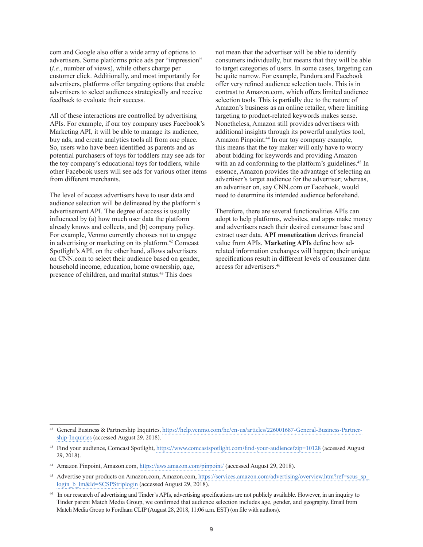com and Google also offer a wide array of options to advertisers. Some platforms price ads per "impression" (*i.e.*, number of views), while others charge per customer click. Additionally, and most importantly for advertisers, platforms offer targeting options that enable advertisers to select audiences strategically and receive feedback to evaluate their success.

All of these interactions are controlled by advertising APIs. For example, if our toy company uses Facebook's Marketing API, it will be able to manage its audience, buy ads, and create analytics tools all from one place. So, users who have been identified as parents and as potential purchasers of toys for toddlers may see ads for the toy company's educational toys for toddlers, while other Facebook users will see ads for various other items from different merchants.

The level of access advertisers have to user data and audience selection will be delineated by the platform's advertisement API. The degree of access is usually influenced by (a) how much user data the platform already knows and collects, and (b) company policy. For example, Venmo currently chooses not to engage in advertising or marketing on its platform.42 Comcast Spotlight's API, on the other hand, allows advertisers on CNN.com to select their audience based on gender, household income, education, home ownership, age, presence of children, and marital status.<sup>43</sup> This does

not mean that the advertiser will be able to identify consumers individually, but means that they will be able to target categories of users. In some cases, targeting can be quite narrow. For example, Pandora and Facebook offer very refined audience selection tools. This is in contrast to Amazon.com, which offers limited audience selection tools. This is partially due to the nature of Amazon's business as an online retailer, where limiting targeting to product-related keywords makes sense. Nonetheless, Amazon still provides advertisers with additional insights through its powerful analytics tool, Amazon Pinpoint.<sup>44</sup> In our toy company example, this means that the toy maker will only have to worry about bidding for keywords and providing Amazon with an ad conforming to the platform's guidelines.<sup>45</sup> In essence, Amazon provides the advantage of selecting an advertiser's target audience for the advertiser; whereas, an advertiser on, say CNN.com or Facebook, would need to determine its intended audience beforehand.

Therefore, there are several functionalities APIs can adopt to help platforms, websites, and apps make money and advertisers reach their desired consumer base and extract user data. **API monetization** derives financial value from APIs. **Marketing APIs** define how adrelated information exchanges will happen; their unique specifications result in different levels of consumer data access for advertisers.46

<sup>42</sup> General Business & Partnership Inquiries, [https://help.venmo.com/hc/en-us/articles/226001687-General-Business-Partner](https://help.venmo.com/hc/en-us/articles/226001687-General-Business-Partnership-Inquiries)[ship-Inquiries](https://help.venmo.com/hc/en-us/articles/226001687-General-Business-Partnership-Inquiries) (accessed August 29, 2018).

<sup>43</sup> Find your audience, Comcast Spotlight,<https://www.comcastspotlight.com/find-your-audience?zip=10128>(accessed August 29, 2018).

<sup>44</sup> Amazon Pinpoint, Amazon.com,<https://aws.amazon.com/pinpoint/> (accessed August 29, 2018).

<sup>45</sup> Advertise your products on Amazon.com, Amazon.com, https://services.amazon.com/advertising/overview.htm?ref=scus\_sp login b lm&ld=SCSPStriplogin (accessed August 29, 2018).

<sup>&</sup>lt;sup>46</sup> In our research of advertising and Tinder's APIs, advertising specifications are not publicly available. However, in an inquiry to Tinder parent Match Media Group, we confirmed that audience selection includes age, gender, and geography. Email from Match Media Group to Fordham CLIP (August 28, 2018, 11:06 a.m. EST) (on file with authors).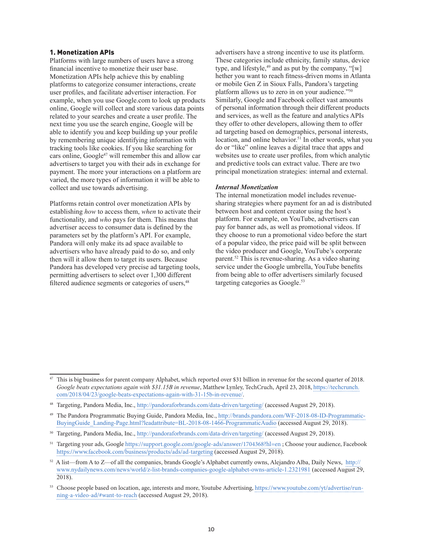#### <span id="page-12-0"></span>1. Monetization APIs

Platforms with large numbers of users have a strong financial incentive to monetize their user base. Monetization APIs help achieve this by enabling platforms to categorize consumer interactions, create user profiles, and facilitate advertiser interaction. For example, when you use Google.com to look up products online, Google will collect and store various data points related to your searches and create a user profile. The next time you use the search engine, Google will be able to identify you and keep building up your profile by remembering unique identifying information with tracking tools like cookies. If you like searching for cars online, Google<sup>47</sup> will remember this and allow car advertisers to target you with their ads in exchange for payment. The more your interactions on a platform are varied, the more types of information it will be able to collect and use towards advertising.

Platforms retain control over monetization APIs by establishing *how* to access them, *when* to activate their functionality, and *who* pays for them. This means that advertiser access to consumer data is defined by the parameters set by the platform's API. For example, Pandora will only make its ad space available to advertisers who have already paid to do so, and only then will it allow them to target its users. Because Pandora has developed very precise ad targeting tools, permitting advertisers to select over 1,300 different filtered audience segments or categories of users,  $48$ 

advertisers have a strong incentive to use its platform. These categories include ethnicity, family status, device type, and lifestyle, $49$  and as put by the company, "[w] hether you want to reach fitness-driven moms in Atlanta or mobile Gen Z in Sioux Falls, Pandora's targeting platform allows us to zero in on your audience."50 Similarly, Google and Facebook collect vast amounts of personal information through their different products and services, as well as the feature and analytics APIs they offer to other developers, allowing them to offer ad targeting based on demographics, personal interests, location, and online behavior.<sup>51</sup> In other words, what you do or "like" online leaves a digital trace that apps and websites use to create user profiles, from which analytic and predictive tools can extract value. There are two principal monetization strategies: internal and external.

#### *Internal Monetization*

The internal monetization model includes revenuesharing strategies where payment for an ad is distributed between host and content creator using the host's platform. For example, on YouTube, advertisers can pay for banner ads, as well as promotional videos. If they choose to run a promotional video before the start of a popular video, the price paid will be split between the video producer and Google, YouTube's corporate parent.52 This is revenue-sharing. As a video sharing service under the Google umbrella, YouTube benefits from being able to offer advertisers similarly focused targeting categories as Google.<sup>53</sup>

 $47$  This is big business for parent company Alphabet, which reported over \$31 billion in revenue for the second quarter of 2018. *Google beats expectations again with \$31.15B in revenue*, Matthew Lynley, TechCruch, April 23, 2018, [https://techcrunch.](https://techcrunch.com/2018/04/23/google-beats-expectations-again-with-31-15b-in-revenue/) [com/2018/04/23/google-beats-expectations-again-with-31-15b-in-revenue/](https://techcrunch.com/2018/04/23/google-beats-expectations-again-with-31-15b-in-revenue/).

<sup>48</sup> Targeting, Pandora Media, Inc.,<http://pandoraforbrands.com/data-driven/targeting/> (accessed August 29, 2018).

<sup>49</sup> The Pandora Programmatic Buying Guide, Pandora Media, Inc., [http://brands.pandora.com/WF-2018-08-ID-Programmatic-](http://brands.pandora.com/WF-2018-08-ID-ProgrammaticBuyingGuide_Landing-Page.html?leadattribute=BL-2018-08-1466-ProgrammaticAudio)[BuyingGuide\\_Landing-Page.html?leadattribute=BL-2018-08-1466-ProgrammaticAudio](http://brands.pandora.com/WF-2018-08-ID-ProgrammaticBuyingGuide_Landing-Page.html?leadattribute=BL-2018-08-1466-ProgrammaticAudio) (accessed August 29, 2018).

<sup>50</sup> Targeting, Pandora Media, Inc.,<http://pandoraforbrands.com/data-driven/targeting/> (accessed August 29, 2018).

<sup>51</sup> Targeting your ads, Google<https://support.google.com/google-ads/answer/1704368?hl=en>; Choose your audience, Facebook <https://www.facebook.com/business/products/ads/ad-targeting> (accessed August 29, 2018).

<sup>52</sup> A list—from A to Z—of all the companies, brands Google's Alphabet currently owns, Alejandro Alba, Daily News, [http://](http://www.nydailynews.com/news/world/z-list-brands-companies-google-alphabet-owns-article-1.2321981) [www.nydailynews.com/news/world/z-list-brands-companies-google-alphabet-owns-article-1.2321981](http://www.nydailynews.com/news/world/z-list-brands-companies-google-alphabet-owns-article-1.2321981) (accessed August 29, 2018).

<sup>53</sup> Choose people based on location, age, interests and more, Youtube Advertising, https://www.youtube.com/yt/advertise/running-a-video-ad/#want-to-reach (accessed August 29, 2018).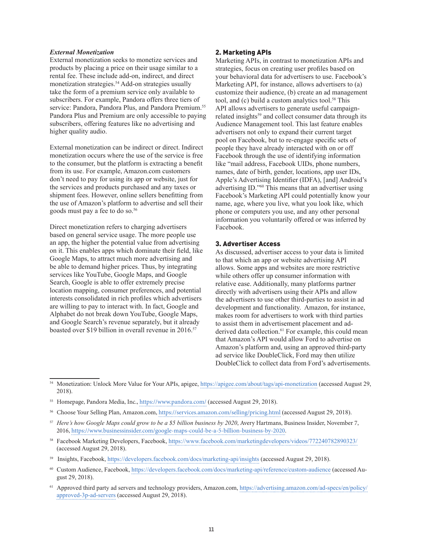#### <span id="page-13-0"></span>*External Monetization*

External monetization seeks to monetize services and products by placing a price on their usage similar to a rental fee. These include add-on, indirect, and direct monetization strategies.<sup>54</sup> Add-on strategies usually take the form of a premium service only available to subscribers. For example, Pandora offers three tiers of service: Pandora, Pandora Plus, and Pandora Premium.<sup>55</sup> Pandora Plus and Premium are only accessible to paying subscribers, offering features like no advertising and higher quality audio.

External monetization can be indirect or direct. Indirect monetization occurs where the use of the service is free to the consumer, but the platform is extracting a benefit from its use. For example, Amazon.com customers don't need to pay for using its app or website, just for the services and products purchased and any taxes or shipment fees. However, online sellers benefitting from the use of Amazon's platform to advertise and sell their goods must pay a fee to do so.56

Direct monetization refers to charging advertisers based on general service usage. The more people use an app, the higher the potential value from advertising on it. This enables apps which dominate their field, like Google Maps, to attract much more advertising and be able to demand higher prices. Thus, by integrating services like YouTube, Google Maps, and Google Search, Google is able to offer extremely precise location mapping, consumer preferences, and potential interests consolidated in rich profiles which advertisers are willing to pay to interact with. In fact, Google and Alphabet do not break down YouTube, Google Maps, and Google Search's revenue separately, but it already boasted over \$19 billion in overall revenue in 2016.57

#### 2. Marketing APIs

Marketing APIs, in contrast to monetization APIs and strategies, focus on creating user profiles based on your behavioral data for advertisers to use. Facebook's Marketing API, for instance, allows advertisers to (a) customize their audience, (b) create an ad management tool, and  $(c)$  build a custom analytics tool.<sup>58</sup> This API allows advertisers to generate useful campaignrelated insights<sup>59</sup> and collect consumer data through its Audience Management tool. This last feature enables advertisers not only to expand their current target pool on Facebook, but to re-engage specific sets of people they have already interacted with on or off Facebook through the use of identifying information like "mail address, Facebook UIDs, phone numbers, names, date of birth, gender, locations, app user IDs, Apple's Advertising Identifier (IDFA), [and] Android's advertising ID."60 This means that an advertiser using Facebook's Marketing API could potentially know your name, age, where you live, what you look like, which phone or computers you use, and any other personal information you voluntarily offered or was inferred by Facebook.

#### 3. Advertiser Access

As discussed, advertiser access to your data is limited to that which an app or website advertising API allows. Some apps and websites are more restrictive while others offer up consumer information with relative ease. Additionally, many platforms partner directly with advertisers using their APIs and allow the advertisers to use other third-parties to assist in ad development and functionality. Amazon, for instance, makes room for advertisers to work with third parties to assist them in advertisement placement and adderived data collection.<sup>61</sup> For example, this could mean that Amazon's API would allow Ford to advertise on Amazon's platform and, using an approved third-party ad service like DoubleClick, Ford may then utilize DoubleClick to collect data from Ford's advertisements.

- <sup>57</sup> *Here's how Google Maps could grow to be a \$5 billion business by 2020*, Avery Hartmans, Business Insider, November 7, 2016, [https://www.businessinsider.com/google-maps-could-be-a-5-billion-business-by-2020.](https://www.businessinsider.com/google-maps-could-be-a-5-billion-business-by-2020)
- <sup>58</sup> Facebook Marketing Developers, Facebook,<https://www.facebook.com/marketingdevelopers/videos/772240782890323/> (accessed August 29, 2018).

- <sup>60</sup> Custom Audience, Facebook,<https://developers.facebook.com/docs/marketing-api/reference/custom-audience>(accessed August 29, 2018).
- <sup>61</sup> Approved third party ad servers and technology providers, Amazon.com, [https://advertising.amazon.com/ad-specs/en/policy/](https://advertising.amazon.com/ad-specs/en/policy/approved-3p-ad-servers) [approved-3p-ad-servers](https://advertising.amazon.com/ad-specs/en/policy/approved-3p-ad-servers) (accessed August 29, 2018).

<sup>54</sup> Monetization: Unlock More Value for Your APIs, apigee,<https://apigee.com/about/tags/api-monetization> (accessed August 29, 2018).

<sup>55</sup> Homepage, Pandora Media, Inc.,<https://www.pandora.com/> (accessed August 29, 2018).

<sup>56</sup> Choose Your Selling Plan, Amazon.com, <https://services.amazon.com/selling/pricing.html> (accessed August 29, 2018).

<sup>59</sup> Insights, Facebook, <https://developers.facebook.com/docs/marketing-api/insights> (accessed August 29, 2018).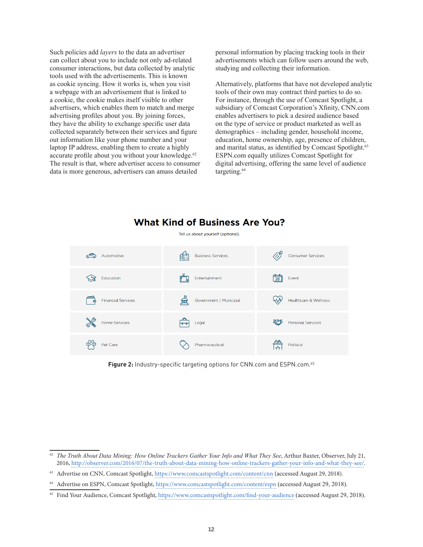Such policies add *layers* to the data an advertiser can collect about you to include not only ad-related consumer interactions, but data collected by analytic tools used with the advertisements. This is known as cookie syncing. How it works is, when you visit a webpage with an advertisement that is linked to a cookie, the cookie makes itself visible to other advertisers, which enables them to match and merge advertising profiles about you. By joining forces, they have the ability to exchange specific user data collected separately between their services and figure out information like your phone number and your laptop IP address, enabling them to create a highly accurate profile about you without your knowledge.<sup>62</sup> The result is that, where advertiser access to consumer data is more generous, advertisers can amass detailed

personal information by placing tracking tools in their advertisements which can follow users around the web, studying and collecting their information.

Alternatively, platforms that have not developed analytic tools of their own may contract third parties to do so. For instance, through the use of Comcast Spotlight, a subsidiary of Comcast Corporation's Xfinity, CNN.com enables advertisers to pick a desired audience based on the type of service or product marketed as well as demographics – including gender, household income, education, home ownership, age, presence of children, and marital status, as identified by Comcast Spotlight.<sup>63</sup> ESPN.com equally utilizes Comcast Spotlight for digital advertising, offering the same level of audience targeting.64



Figure 2: Industry-specific targeting options for CNN.com and ESPN.com.<sup>65</sup>

<sup>62</sup> *The Truth About Data Mining: How Online Trackers Gather Your Info and What They See*, Arthur Baxter, Observer, July 21, 2016, [http://observer.com/2016/07/the-truth-about-data-mining-how-online-trackers-gather-your-info-and-what-they-see/.](http://observer.com/2016/07/the-truth-about-data-mining-how-online-trackers-gather-your-info-and-what-they-see/)

<sup>63</sup> Advertise on CNN, Comcast Spotlight, <https://www.comcastspotlight.com/content/cnn> (accessed August 29, 2018).

<sup>64</sup> Advertise on ESPN, Comcast Spotlight, <https://www.comcastspotlight.com/content/espn> (accessed August 29, 2018).

<sup>65</sup> Find Your Audience, Comcast Spotlight, <https://www.comcastspotlight.com/find-your-audience> (accessed August 29, 2018).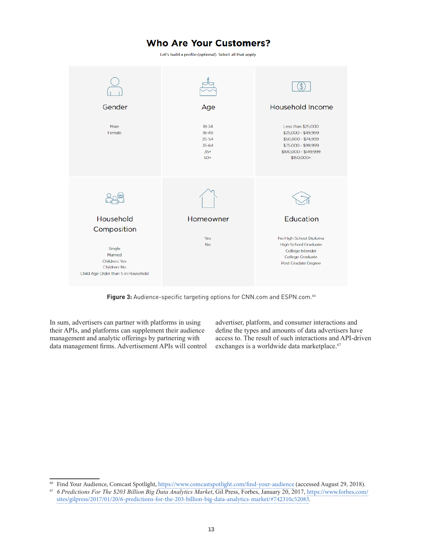## **Who Are Your Customers?**

Let's build a profile (optional). Select all that apply.



Figure 3: Audience-specific targeting options for CNN.com and ESPN.com.<sup>66</sup>

In sum, advertisers can partner with platforms in using their APIs, and platforms can supplement their audience management and analytic offerings by partnering with data management firms. Advertisement APIs will control

advertiser, platform, and consumer interactions and define the types and amounts of data advertisers have access to. The result of such interactions and API-driven exchanges is a worldwide data marketplace.<sup>67</sup>

<sup>66</sup> Find Your Audience, Comcast Spotlight, <https://www.comcastspotlight.com/find-your-audience> (accessed August 29, 2018).

<sup>67</sup> *6 Predictions For The \$203 Billion Big Data Analytics Market*, Gil Press, Forbes, January 20, 2017, https://www.forbes.com/ sites/gilpress/2017/01/20/6-predictions-for-the-203-billion-big-data-analytics-market/#742310c52083.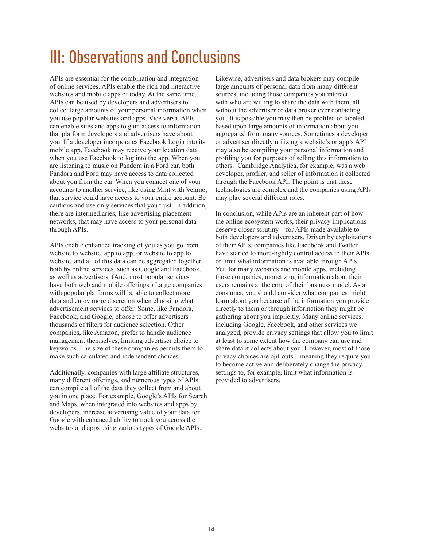# <span id="page-16-0"></span>III: Observations and Conclusions

APIs are essential for the combination and integration of online services. APIs enable the rich and interactive websites and mobile apps of today. At the same time, APIs can be used by developers and advertisers to collect large amounts of your personal information when you use popular websites and apps. Vice versa, APIs can enable sites and apps to gain access to information that platform developers and advertisers have about you. If a developer incorporates Facebook Login into its mobile app, Facebook may receive your location data when you use Facebook to log into the app. When you are listening to music on Pandora in a Ford car, both Pandora and Ford may have access to data collected about you from the car. When you connect one of your accounts to another service, like using Mint with Venmo, that service could have access to your entire account. Be cautious and use only services that you trust. In addition, there are intermediaries, like advertising placement networks, that may have access to your personal data through APIs.

APIs enable enhanced tracking of you as you go from website to website, app to app, or website to app to website, and all of this data can be aggregated together, both by online services, such as Google and Facebook, as well as advertisers. (And, most popular services have both web and mobile offerings.) Large companies with popular platforms will be able to collect more data and enjoy more discretion when choosing what advertisement services to offer. Some, like Pandora, Facebook, and Google, choose to offer advertisers thousands of filters for audience selection. Other companies, like Amazon, prefer to handle audience management themselves, limiting advertiser choice to keywords. The size of these companies permits them to make such calculated and independent choices.

Additionally, companies with large affiliate structures, many different offerings, and numerous types of APIs can compile all of the data they collect from and about you in one place. For example, Google's APIs for Search and Maps, when integrated into websites and apps by developers, increase advertising value of your data for Google with enhanced ability to track you across the websites and apps using various types of Google APIs.

Likewise, advertisers and data brokers may compile large amounts of personal data from many different sources, including those companies you interact with who are willing to share the data with them, all without the advertiser or data broker ever contacting you. It is possible you may then be profiled or labeled based upon large amounts of information about you aggregated from many sources. Sometimes a developer or advertiser directly utilizing a website's or app's API may also be compiling your personal information and profiling you for purposes of selling this information to others. Cambridge Analytica, for example, was a web developer, profiler, and seller of information it collected through the Facebook API. The point is that these technologies are complex and the companies using APIs may play several different roles.

In conclusion, while APIs are an inherent part of how the online ecosystem works, their privacy implications deserve closer scrutiny – for APIs made available to both developers and advertisers. Driven by exploitations of their APIs, companies like Facebook and Twitter have started to more-tightly control access to their APIs or limit what information is available through APIs. Yet, for many websites and mobile apps, including those companies, monetizing information about their users remains at the core of their business model. As a consumer, you should consider what companies might learn about you because of the information you provide directly to them or through information they might be gathering about you implicitly. Many online services, including Google, Facebook, and other services we analyzed, provide privacy settings that allow you to limit at least to some extent how the company can use and share data it collects about you. However, most of those privacy choices are opt-outs – meaning they require you to become active and deliberately change the privacy settings to, for example, limit what information is provided to advertisers.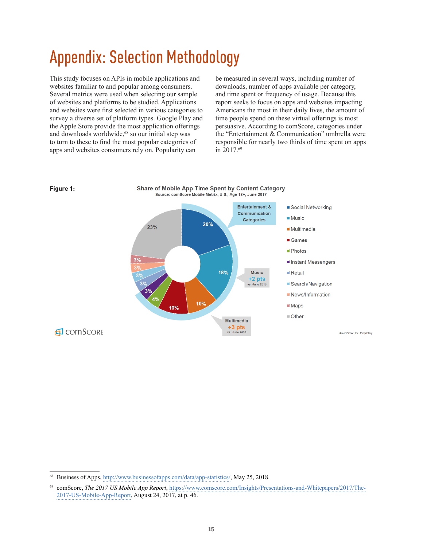# <span id="page-17-0"></span>Appendix: Selection Methodology

This study focuses on APIs in mobile applications and websites familiar to and popular among consumers. Several metrics were used when selecting our sample of websites and platforms to be studied. Applications and websites were first selected in various categories to survey a diverse set of platform types. Google Play and the Apple Store provide the most application offerings and downloads worldwide,<sup>68</sup> so our initial step was to turn to these to find the most popular categories of apps and websites consumers rely on. Popularity can

be measured in several ways, including number of downloads, number of apps available per category, and time spent or frequency of usage. Because this report seeks to focus on apps and websites impacting Americans the most in their daily lives, the amount of time people spend on these virtual offerings is most persuasive. According to comScore, categories under the "Entertainment & Communication" umbrella were responsible for nearly two thirds of time spent on apps in 2017<sup>69</sup>



<sup>68</sup> Business of Apps, [http://www.businessofapps.com/data/app-statistics/,](http://www.businessofapps.com/data/app-statistics/) May 25, 2018.

<sup>69</sup> comScore, *The 2017 US Mobile App Report*, [https://www.comscore.com/Insights/Presentations-and-Whitepapers/2017/The-](https://www.comscore.com/Insights/Presentations-and-Whitepapers/2017/The-2017-US-Mobile-App-Report)[2017-US-Mobile-App-Report](https://www.comscore.com/Insights/Presentations-and-Whitepapers/2017/The-2017-US-Mobile-App-Report), August 24, 2017, at p. 46.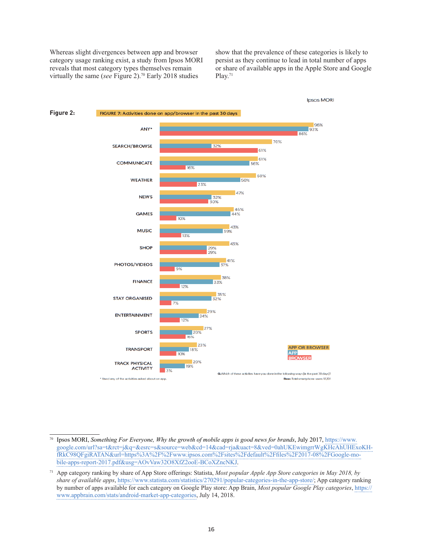Whereas slight divergences between app and browser category usage ranking exist, a study from Ipsos MORI reveals that most category types themselves remain virtually the same (*see* Figure 2).70 Early 2018 studies

show that the prevalence of these categories is likely to persist as they continue to lead in total number of apps or share of available apps in the Apple Store and Google  $Play.<sup>71</sup>$ 



**Ipsos MORI** 

<sup>70</sup> Ipsos MORI, *Something For Everyone, Why the growth of mobile apps is good news for brands*, July 2017, [https://www.](https://www.google.com/url?sa=t&rct=j&q=&esrc=s&source=web&cd=14&cad=rja&uact=8&ved=0ahUKEwimgrrWgKHcAhUHExoKHfRkC98QFgiRATAN&url=https%3A%2F%2Fwww.ipsos.com%2Fsites%2Fdefault%2Ffiles%2F2017-08%2FGoogle-mobile-apps-report-2017.pdf&usg=AOvVaw32O8XfZ2ooE-BCoXZncNKJ) [google.com/url?sa=t&rct=j&q=&esrc=s&source=web&cd=14&cad=rja&uact=8&ved=0ahUKEwimgrrWgKHcAhUHExoKH](https://www.google.com/url?sa=t&rct=j&q=&esrc=s&source=web&cd=14&cad=rja&uact=8&ved=0ahUKEwimgrrWgKHcAhUHExoKHfRkC98QFgiRATAN&url=https%3A%2F%2Fwww.ipsos.com%2Fsites%2Fdefault%2Ffiles%2F2017-08%2FGoogle-mobile-apps-report-2017.pdf&usg=AOvVaw32O8XfZ2ooE-BCoXZncNKJ)[fRkC98QFgiRATAN&url=https%3A%2F%2Fwww.ipsos.com%2Fsites%2Fdefault%2Ffiles%2F2017-08%2FGoogle-mo](https://www.google.com/url?sa=t&rct=j&q=&esrc=s&source=web&cd=14&cad=rja&uact=8&ved=0ahUKEwimgrrWgKHcAhUHExoKHfRkC98QFgiRATAN&url=https%3A%2F%2Fwww.ipsos.com%2Fsites%2Fdefault%2Ffiles%2F2017-08%2FGoogle-mobile-apps-report-2017.pdf&usg=AOvVaw32O8XfZ2ooE-BCoXZncNKJ)[bile-apps-report-2017.pdf&usg=AOvVaw32O8XfZ2ooE-BCoXZncNKJ](https://www.google.com/url?sa=t&rct=j&q=&esrc=s&source=web&cd=14&cad=rja&uact=8&ved=0ahUKEwimgrrWgKHcAhUHExoKHfRkC98QFgiRATAN&url=https%3A%2F%2Fwww.ipsos.com%2Fsites%2Fdefault%2Ffiles%2F2017-08%2FGoogle-mobile-apps-report-2017.pdf&usg=AOvVaw32O8XfZ2ooE-BCoXZncNKJ).

<sup>71</sup> App category ranking by share of App Store offerings: Statista, *Most popular Apple App Store categories in May 2018, by share of available apps*, [https://www.statista.com/statistics/270291/popular-categories-in-the-app-store/;](https://www.statista.com/statistics/270291/popular-categories-in-the-app-store/) App category ranking by number of apps available for each category on Google Play store: App Brain, *Most popular Google Play categories*, [https://](https://www.appbrain.com/stats/android-market-app-categories) [www.appbrain.com/stats/android-market-app-categories](https://www.appbrain.com/stats/android-market-app-categories), July 14, 2018.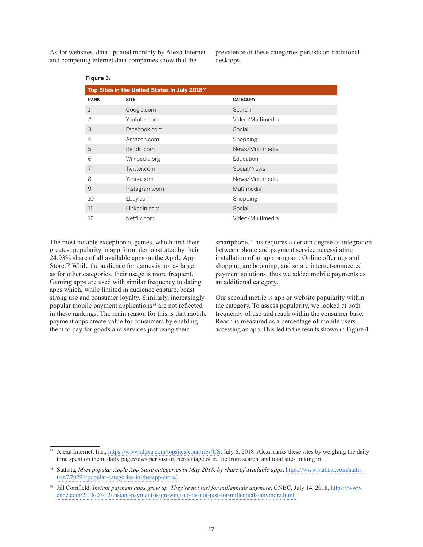As for websites, data updated monthly by Alexa Internet and competing internet data companies show that the

prevalence of these categories persists on traditional desktops.

| Top Sites in the United States in July 2018 <sup>72</sup> |               |                  |  |  |  |
|-----------------------------------------------------------|---------------|------------------|--|--|--|
| <b>RANK</b>                                               | <b>SITE</b>   | <b>CATEGORY</b>  |  |  |  |
| $\mathbf{1}$                                              | Google.com    | Search           |  |  |  |
| 2                                                         | Youtube.com   | Video/Multimedia |  |  |  |
| 3                                                         | Facebook.com  | Social           |  |  |  |
| 4                                                         | Amazon.com    | Shopping         |  |  |  |
| 5                                                         | Reddit.com    | News/Multimedia  |  |  |  |
| 6                                                         | Wikipedia.org | Education        |  |  |  |
| 7                                                         | Twitter.com   | Social/News      |  |  |  |
| 8                                                         | Yahoo.com     | News/Multimedia  |  |  |  |
| 9                                                         | Instagram.com | Multimedia       |  |  |  |
| 10                                                        | Ebay.com      | Shopping         |  |  |  |
| 11                                                        | Linkedin.com  | Social           |  |  |  |
| 12                                                        | Netflix.com   | Video/Multimedia |  |  |  |

**Figure 3:**

The most notable exception is games, which find their greatest popularity in app form, demonstrated by their 24.93% share of all available apps on the Apple App Store.73 While the audience for games is not as large as for other categories, their usage is more frequent. Gaming apps are used with similar frequency to dating apps which, while limited in audience capture, boast strong use and consumer loyalty. Similarly, increasingly popular mobile payment applications<sup>74</sup> are not reflected in these rankings. The main reason for this is that mobile payment apps create value for consumers by enabling them to pay for goods and services just using their

smartphone. This requires a certain degree of integration between phone and payment service necessitating installation of an app program. Online offerings and shopping are booming, and so are internet-connected payment solutions; thus we added mobile payments as an additional category.

Our second metric is app or website popularity within the category. To assess popularity, we looked at both frequency of use and reach within the consumer base. Reach is measured as a percentage of mobile users accessing an app. This led to the results shown in Figure 4.

<sup>72</sup> Alexa Internet, Inc., <https://www.alexa.com/topsites/countries/US>, July 6, 2018. Alexa ranks these sites by weighing the daily time spent on them, daily pageviews per visitor, percentage of traffic from search, and total sites linking in.

<sup>73</sup> Statista, *Most popular Apple App Store categories in May 2018, by share of available apps*, [https://www.statista.com/statis](https://www.statista.com/statistics/270291/popular-categories-in-the-app-store/)[tics/270291/popular-categories-in-the-app-store/](https://www.statista.com/statistics/270291/popular-categories-in-the-app-store/).

<sup>74</sup> Jill Cornfield, *Instant payment apps grow up. They're not just for millennials anymore*, CNBC, July 14, 2018, [https://www.](https://www.cnbc.com/2018/07/12/instant-payment-is-growing-up-its-not-just-for-millennials-anymore.html) [cnbc.com/2018/07/12/instant-payment-is-growing-up-its-not-just-for-millennials-anymore.html](https://www.cnbc.com/2018/07/12/instant-payment-is-growing-up-its-not-just-for-millennials-anymore.html).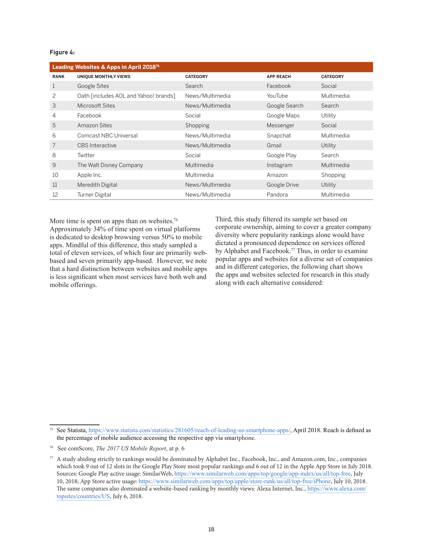#### **Figure 4:**

| Leading Websites & Apps in April 2018 <sup>75</sup> |                                       |                 |                  |                 |  |  |  |
|-----------------------------------------------------|---------------------------------------|-----------------|------------------|-----------------|--|--|--|
| <b>RANK</b>                                         | UNIQUE MONTHLY VIEWS                  | <b>CATEGORY</b> | <b>APP REACH</b> | <b>CATEGORY</b> |  |  |  |
| 1                                                   | <b>Google Sites</b>                   | Search          | Facebook         | Social          |  |  |  |
| 2                                                   | Oath [includes AOL and Yahoo! brands] | News/Multimedia | YouTube          | Multimedia      |  |  |  |
| 3                                                   | Microsoft Sites                       | News/Multimedia | Google Search    | <b>Search</b>   |  |  |  |
| 4                                                   | Facebook                              | Social          | Google Maps      | Utility         |  |  |  |
| 5                                                   | Amazon Sites                          | Shopping        | Messenger        | Social          |  |  |  |
| 6                                                   | Comcast NBC Universal                 | News/Multimedia | Snapchat         | Multimedia      |  |  |  |
| 7                                                   | <b>CBS</b> Interactive                | News/Multimedia | Gmail            | Utility         |  |  |  |
| 8                                                   | Twitter                               | Social          | Google Play      | Search          |  |  |  |
| 9                                                   | The Walt Disney Company               | Multimedia      | Instagram        | Multimedia      |  |  |  |
| 10                                                  | Apple Inc.                            | Multimedia      | Amazon           | Shopping        |  |  |  |
| 11                                                  | Meredith Digital                      | News/Multimedia | Google Drive     | Utility         |  |  |  |
| 12                                                  | <b>Turner Digital</b>                 | News/Multimedia | Pandora          | Multimedia      |  |  |  |

More time is spent on apps than on websites.<sup>76</sup>

Approximately 34% of time spent on virtual platforms is dedicated to desktop browsing versus 50% to mobile apps. Mindful of this difference, this study sampled a total of eleven services, of which four are primarily webbased and seven primarily app-based. However, we note that a hard distinction between websites and mobile apps is less significant when most services have both web and mobile offerings.

Third, this study filtered its sample set based on corporate ownership, aiming to cover a greater company diversity where popularity rankings alone would have dictated a pronounced dependence on services offered by Alphabet and Facebook.<sup>77</sup> Thus, in order to examine popular apps and websites for a diverse set of companies and in different categories, the following chart shows the apps and websites selected for research in this study along with each alternative considered:

<sup>75</sup> See Statista,<https://www.statista.com/statistics/281605/reach-of-leading-us-smartphone-apps/>, April 2018. Reach is defined as the percentage of mobile audience accessing the respective app via smartphone.

<sup>76</sup> See comScore, *The 2017 US Mobile Report*, at p. 6

<sup>77</sup> A study abiding strictly to rankings would be dominated by Alphabet Inc., Facebook, Inc., and Amazon.com, Inc., companies which took 9 out of 12 slots in the Google Play Store most popular rankings and 6 out of 12 in the Apple App Store in July 2018. Sources: Google Play active usage: SimilarWeb, <https://www.similarweb.com/apps/top/google/app-index/us/all/top-free>, July 10, 2018; App Store active usage: <https://www.similarweb.com/apps/top/apple/store-rank/us/all/top-free/iPhone>, July 10, 2018. The same companies also dominated a website-based ranking by monthly views: Alexa Internet, Inc., [https://www.alexa.com/](https://www.alexa.com/topsites/countries/US) [topsites/countries/US,](https://www.alexa.com/topsites/countries/US) July 6, 2018.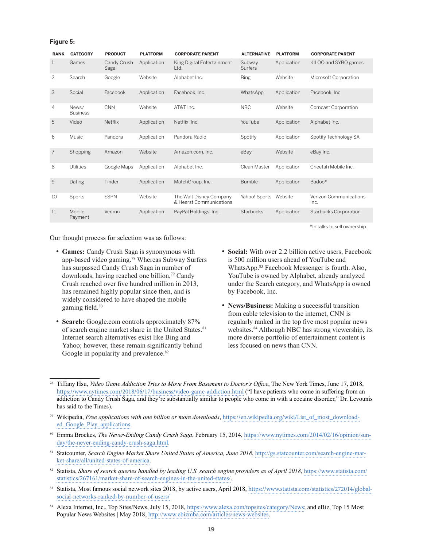#### **Figure 5:**

| <b>RANK</b> | <b>CATEGORY</b>          | <b>PRODUCT</b>      | <b>PLATFORM</b> | <b>CORPORATE PARENT</b>                            | <b>ALTERNATIVE</b> | <b>PLATFORM</b> | <b>CORPORATE PARENT</b>        |
|-------------|--------------------------|---------------------|-----------------|----------------------------------------------------|--------------------|-----------------|--------------------------------|
| 1           | Games                    | Candy Crush<br>Saga | Application     | King Digital Entertainment<br>Ltd.                 | Subway<br>Surfers  | Application     | KILOO and SYBO games           |
| 2           | Search                   | Google              | Website         | Alphabet Inc.                                      | <b>Bing</b>        | Website         | Microsoft Corporation          |
| 3           | Social                   | Facebook            | Application     | Facebook, Inc.                                     | WhatsApp           | Application     | Facebook, Inc.                 |
| 4           | News/<br><b>Business</b> | CNN                 | Website         | AT&T Inc.                                          | <b>NBC</b>         | Website         | Comcast Corporation            |
| 5           | Video                    | Netflix             | Application     | Netflix, Inc.                                      | YouTube            | Application     | Alphabet Inc.                  |
| 6           | Music                    | Pandora             | Application     | Pandora Radio                                      | Spotify            | Application     | Spotify Technology SA          |
| 7           | Shopping                 | Amazon              | Website         | Amazon.com. Inc.                                   | eBay               | Website         | eBay Inc.                      |
| 8           | <b>Utilities</b>         | Google Maps         | Application     | Alphabet Inc.                                      | Clean Master       | Application     | Cheetah Mobile Inc.            |
| 9           | Dating                   | Tinder              | Application     | MatchGroup, Inc.                                   | <b>Bumble</b>      | Application     | Badoo*                         |
| 10          | Sports                   | <b>ESPN</b>         | Website         | The Walt Disney Company<br>& Hearst Communications | Yahoo! Sports      | Website         | Verizon Communications<br>Inc. |
| 11          | Mobile<br>Payment        | Venmo               | Application     | PayPal Holdings, Inc.                              | <b>Starbucks</b>   | Application     | <b>Starbucks Corporation</b>   |

\*In talks to sell ownership

Our thought process for selection was as follows:

- • **Games:** Candy Crush Saga is synonymous with app-based video gaming.78 Whereas Subway Surfers has surpassed Candy Crush Saga in number of downloads, having reached one billion,79 Candy Crush reached over five hundred million in 2013, has remained highly popular since then, and is widely considered to have shaped the mobile gaming field.<sup>80</sup>
- **Search:** Google.com controls approximately 87% of search engine market share in the United States.<sup>81</sup> Internet search alternatives exist like Bing and Yahoo; however, these remain significantly behind Google in popularity and prevalence.<sup>82</sup>
- **Social:** With over 2.2 billion active users, Facebook is 500 million users ahead of YouTube and WhatsApp.83 Facebook Messenger is fourth. Also, YouTube is owned by Alphabet, already analyzed under the Search category, and WhatsApp is owned by Facebook, Inc.
- **News/Business:** Making a successful transition from cable television to the internet, CNN is regularly ranked in the top five most popular news websites.<sup>84</sup> Although NBC has strong viewership, its more diverse portfolio of entertainment content is less focused on news than CNN.

- <sup>82</sup> Statista, *Share of search queries handled by leading U.S. search engine providers as of April 2018*, [https://www.statista.com/](https://www.statista.com/statistics/267161/market-share-of-search-engines-in-the-united-states/) [statistics/267161/market-share-of-search-engines-in-the-united-states/.](https://www.statista.com/statistics/267161/market-share-of-search-engines-in-the-united-states/)
- 83 Statista, Most famous social network sites 2018, by active users, April 2018, [https://www.statista.com/statistics/272014/global](https://www.statista.com/statistics/272014/global-social-networks-ranked-by-number-of-users/)[social-networks-ranked-by-number-of-users/](https://www.statista.com/statistics/272014/global-social-networks-ranked-by-number-of-users/)

<sup>78</sup> Tiffany Hsu, *Video Game Addiction Tries to Move From Basement to Doctor's Office*, The New York Times, June 17, 2018, <https://www.nytimes.com/2018/06/17/business/video-game-addiction.html> ("I have patients who come in suffering from an addiction to Candy Crush Saga, and they're substantially similar to people who come in with a cocaine disorder," Dr. Levounis has said to the Times).

<sup>79</sup> Wikipedia, *Free applications with one billion or more downloads*, [https://en.wikipedia.org/wiki/List\\_of\\_most\\_download](https://en.wikipedia.org/wiki/List_of_most_downloaded_Google_Play_applications)[ed\\_Google\\_Play\\_applications](https://en.wikipedia.org/wiki/List_of_most_downloaded_Google_Play_applications).

<sup>80</sup> Emma Brockes, *The Never-Ending Candy Crush Saga*, February 15, 2014, [https://www.nytimes.com/2014/02/16/opinion/sun](https://www.nytimes.com/2014/02/16/opinion/sunday/the-never-ending-candy-crush-saga.html)[day/the-never-ending-candy-crush-saga.html.](https://www.nytimes.com/2014/02/16/opinion/sunday/the-never-ending-candy-crush-saga.html)

<sup>81</sup> Statcounter, *Search Engine Market Share United States of America, June 2018*, [http://gs.statcounter.com/search-engine-mar](http://gs.statcounter.com/search-engine-market-share/all/united-states-of-america)[ket-share/all/united-states-of-america](http://gs.statcounter.com/search-engine-market-share/all/united-states-of-america).

<sup>84</sup> Alexa Internet, Inc., Top Sites/News, July 15, 2018, <https://www.alexa.com/topsites/category/News>; and eBiz, Top 15 Most Popular News Websites | May 2018, <http://www.ebizmba.com/articles/news-websites>.